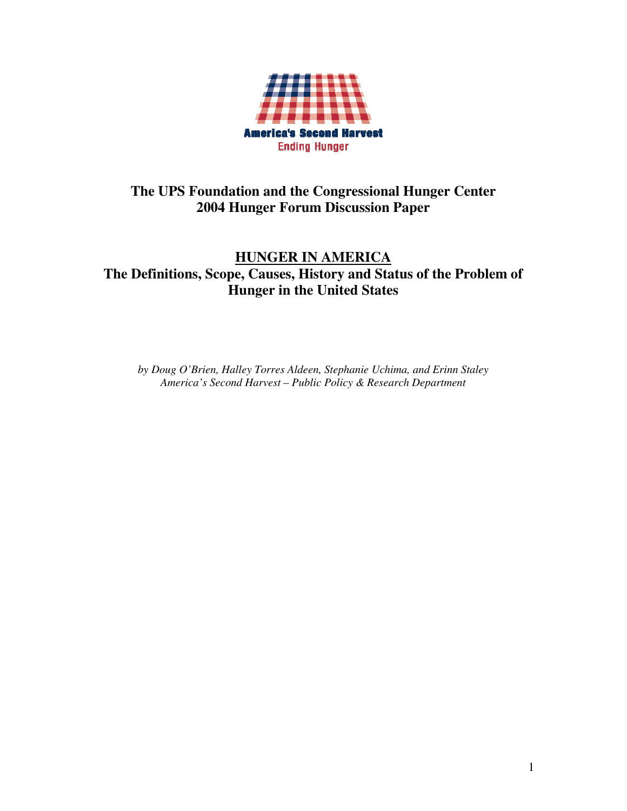

# **The UPS Foundation and the Congressional Hunger Center 2004 Hunger Forum Discussion Paper**

# **HUNGER IN AMERICA The Definitions, Scope, Causes, History and Status of the Problem of Hunger in the United States**

*by Doug O'Brien, Halley Torres Aldeen, Stephanie Uchima, and Erinn Staley America's Second Harvest – Public Policy & Research Department*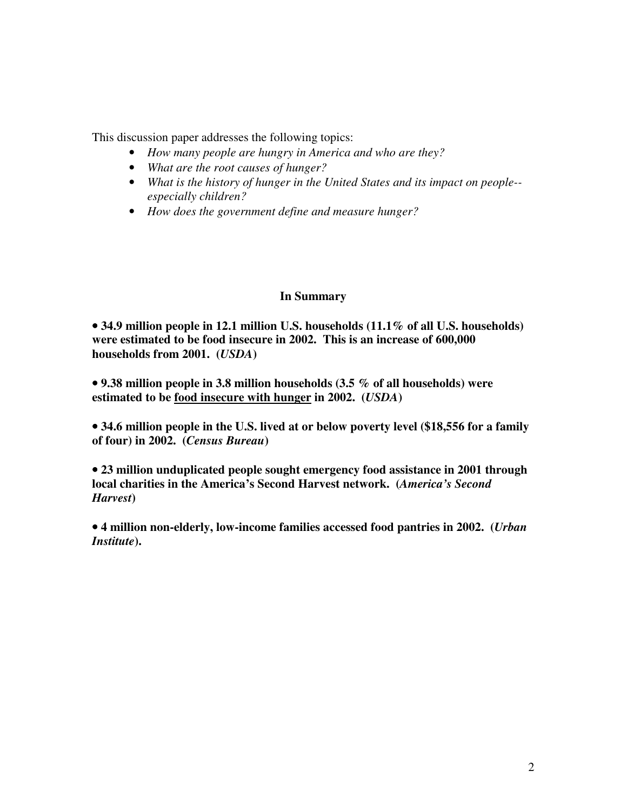This discussion paper addresses the following topics:

- *How many people are hungry in America and who are they?*
- *What are the root causes of hunger?*
- *What is the history of hunger in the United States and its impact on people- especially children?*
- *How does the government define and measure hunger?*

## **In Summary**

• **34.9 million people in 12.1 million U.S. households (11.1% of all U.S. households) were estimated to be food insecure in 2002. This is an increase of 600,000 households from 2001. (***USDA***)** 

• **9.38 million people in 3.8 million households (3.5 % of all households) were estimated to be food insecure with hunger in 2002. (***USDA***)** 

• **34.6 million people in the U.S. lived at or below poverty level (\$18,556 for a family of four) in 2002. (***Census Bureau***)** 

• **23 million unduplicated people sought emergency food assistance in 2001 through local charities in the America's Second Harvest network. (***America's Second Harvest***)** 

• **4 million non-elderly, low-income families accessed food pantries in 2002. (***Urban Institute***).**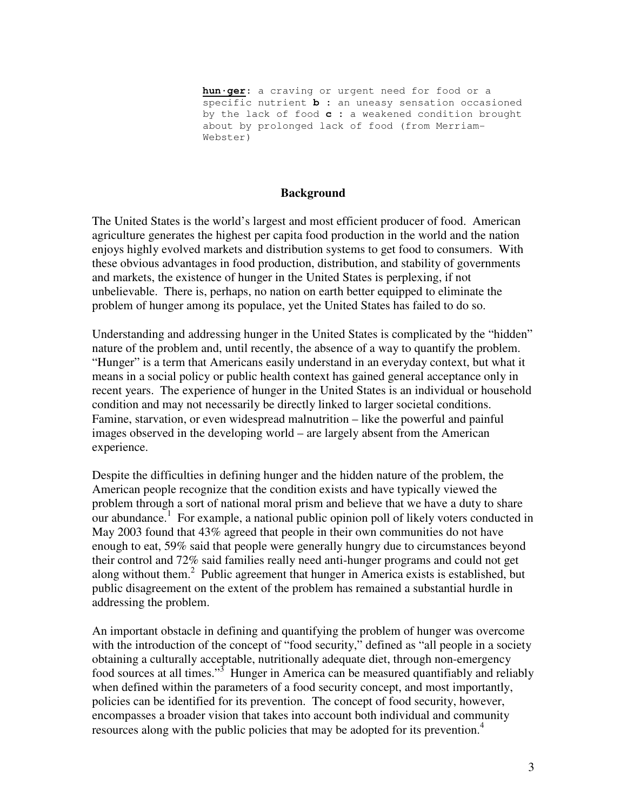**hun·ger**: a craving or urgent need for food or a specific nutrient **b :** an uneasy sensation occasioned by the lack of food **c :** a weakened condition brought about by prolonged lack of food (from Merriam-Webster)

#### **Background**

The United States is the world's largest and most efficient producer of food. American agriculture generates the highest per capita food production in the world and the nation enjoys highly evolved markets and distribution systems to get food to consumers. With these obvious advantages in food production, distribution, and stability of governments and markets, the existence of hunger in the United States is perplexing, if not unbelievable. There is, perhaps, no nation on earth better equipped to eliminate the problem of hunger among its populace, yet the United States has failed to do so.

Understanding and addressing hunger in the United States is complicated by the "hidden" nature of the problem and, until recently, the absence of a way to quantify the problem. "Hunger" is a term that Americans easily understand in an everyday context, but what it means in a social policy or public health context has gained general acceptance only in recent years. The experience of hunger in the United States is an individual or household condition and may not necessarily be directly linked to larger societal conditions. Famine, starvation, or even widespread malnutrition – like the powerful and painful images observed in the developing world – are largely absent from the American experience.

Despite the difficulties in defining hunger and the hidden nature of the problem, the American people recognize that the condition exists and have typically viewed the problem through a sort of national moral prism and believe that we have a duty to share our abundance.<sup>1</sup> For example, a national public opinion poll of likely voters conducted in May 2003 found that 43% agreed that people in their own communities do not have enough to eat, 59% said that people were generally hungry due to circumstances beyond their control and 72% said families really need anti-hunger programs and could not get along without them.<sup>2</sup> Public agreement that hunger in America exists is established, but public disagreement on the extent of the problem has remained a substantial hurdle in addressing the problem.

An important obstacle in defining and quantifying the problem of hunger was overcome with the introduction of the concept of "food security," defined as "all people in a society obtaining a culturally acceptable, nutritionally adequate diet, through non-emergency food sources at all times."<sup>3</sup> Hunger in America can be measured quantifiably and reliably when defined within the parameters of a food security concept, and most importantly, policies can be identified for its prevention. The concept of food security, however, encompasses a broader vision that takes into account both individual and community resources along with the public policies that may be adopted for its prevention.<sup>4</sup>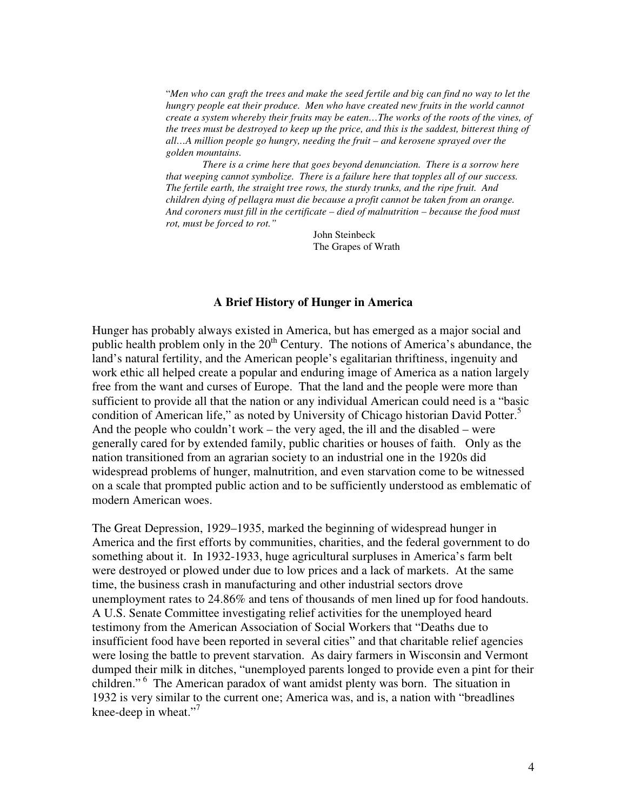"*Men who can graft the trees and make the seed fertile and big can find no way to let the hungry people eat their produce. Men who have created new fruits in the world cannot create a system whereby their fruits may be eaten…The works of the roots of the vines, of the trees must be destroyed to keep up the price, and this is the saddest, bitterest thing of all…A million people go hungry, needing the fruit – and kerosene sprayed over the golden mountains.* 

 *There is a crime here that goes beyond denunciation. There is a sorrow here that weeping cannot symbolize. There is a failure here that topples all of our success. The fertile earth, the straight tree rows, the sturdy trunks, and the ripe fruit. And children dying of pellagra must die because a profit cannot be taken from an orange. And coroners must fill in the certificate – died of malnutrition – because the food must rot, must be forced to rot."* 

> John Steinbeck The Grapes of Wrath

#### **A Brief History of Hunger in America**

Hunger has probably always existed in America, but has emerged as a major social and public health problem only in the  $20<sup>th</sup>$  Century. The notions of America's abundance, the land's natural fertility, and the American people's egalitarian thriftiness, ingenuity and work ethic all helped create a popular and enduring image of America as a nation largely free from the want and curses of Europe. That the land and the people were more than sufficient to provide all that the nation or any individual American could need is a "basic condition of American life," as noted by University of Chicago historian David Potter.<sup>5</sup> And the people who couldn't work – the very aged, the ill and the disabled – were generally cared for by extended family, public charities or houses of faith. Only as the nation transitioned from an agrarian society to an industrial one in the 1920s did widespread problems of hunger, malnutrition, and even starvation come to be witnessed on a scale that prompted public action and to be sufficiently understood as emblematic of modern American woes.

The Great Depression, 1929–1935, marked the beginning of widespread hunger in America and the first efforts by communities, charities, and the federal government to do something about it. In 1932-1933, huge agricultural surpluses in America's farm belt were destroyed or plowed under due to low prices and a lack of markets. At the same time, the business crash in manufacturing and other industrial sectors drove unemployment rates to 24.86% and tens of thousands of men lined up for food handouts. A U.S. Senate Committee investigating relief activities for the unemployed heard testimony from the American Association of Social Workers that "Deaths due to insufficient food have been reported in several cities" and that charitable relief agencies were losing the battle to prevent starvation. As dairy farmers in Wisconsin and Vermont dumped their milk in ditches, "unemployed parents longed to provide even a pint for their children."<sup>6</sup> The American paradox of want amidst plenty was born. The situation in 1932 is very similar to the current one; America was, and is, a nation with "breadlines knee-deep in wheat."<sup>7</sup>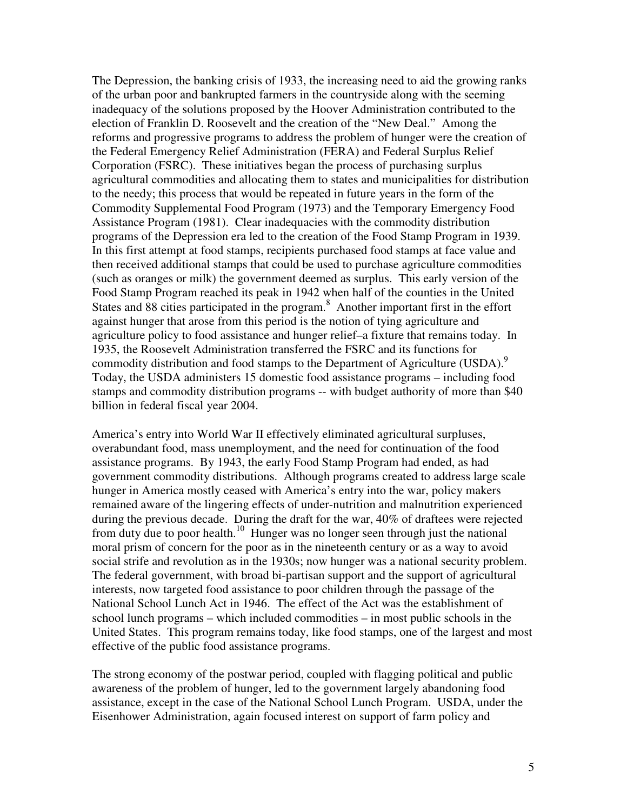The Depression, the banking crisis of 1933, the increasing need to aid the growing ranks of the urban poor and bankrupted farmers in the countryside along with the seeming inadequacy of the solutions proposed by the Hoover Administration contributed to the election of Franklin D. Roosevelt and the creation of the "New Deal." Among the reforms and progressive programs to address the problem of hunger were the creation of the Federal Emergency Relief Administration (FERA) and Federal Surplus Relief Corporation (FSRC). These initiatives began the process of purchasing surplus agricultural commodities and allocating them to states and municipalities for distribution to the needy; this process that would be repeated in future years in the form of the Commodity Supplemental Food Program (1973) and the Temporary Emergency Food Assistance Program (1981). Clear inadequacies with the commodity distribution programs of the Depression era led to the creation of the Food Stamp Program in 1939. In this first attempt at food stamps, recipients purchased food stamps at face value and then received additional stamps that could be used to purchase agriculture commodities (such as oranges or milk) the government deemed as surplus. This early version of the Food Stamp Program reached its peak in 1942 when half of the counties in the United States and 88 cities participated in the program.<sup>8</sup> Another important first in the effort against hunger that arose from this period is the notion of tying agriculture and agriculture policy to food assistance and hunger relief–a fixture that remains today. In 1935, the Roosevelt Administration transferred the FSRC and its functions for commodity distribution and food stamps to the Department of Agriculture (USDA).<sup>9</sup> Today, the USDA administers 15 domestic food assistance programs – including food stamps and commodity distribution programs -- with budget authority of more than \$40 billion in federal fiscal year 2004.

America's entry into World War II effectively eliminated agricultural surpluses, overabundant food, mass unemployment, and the need for continuation of the food assistance programs. By 1943, the early Food Stamp Program had ended, as had government commodity distributions. Although programs created to address large scale hunger in America mostly ceased with America's entry into the war, policy makers remained aware of the lingering effects of under-nutrition and malnutrition experienced during the previous decade. During the draft for the war, 40% of draftees were rejected from duty due to poor health.<sup>10</sup> Hunger was no longer seen through just the national moral prism of concern for the poor as in the nineteenth century or as a way to avoid social strife and revolution as in the 1930s; now hunger was a national security problem. The federal government, with broad bi-partisan support and the support of agricultural interests, now targeted food assistance to poor children through the passage of the National School Lunch Act in 1946. The effect of the Act was the establishment of school lunch programs – which included commodities – in most public schools in the United States. This program remains today, like food stamps, one of the largest and most effective of the public food assistance programs.

The strong economy of the postwar period, coupled with flagging political and public awareness of the problem of hunger, led to the government largely abandoning food assistance, except in the case of the National School Lunch Program. USDA, under the Eisenhower Administration, again focused interest on support of farm policy and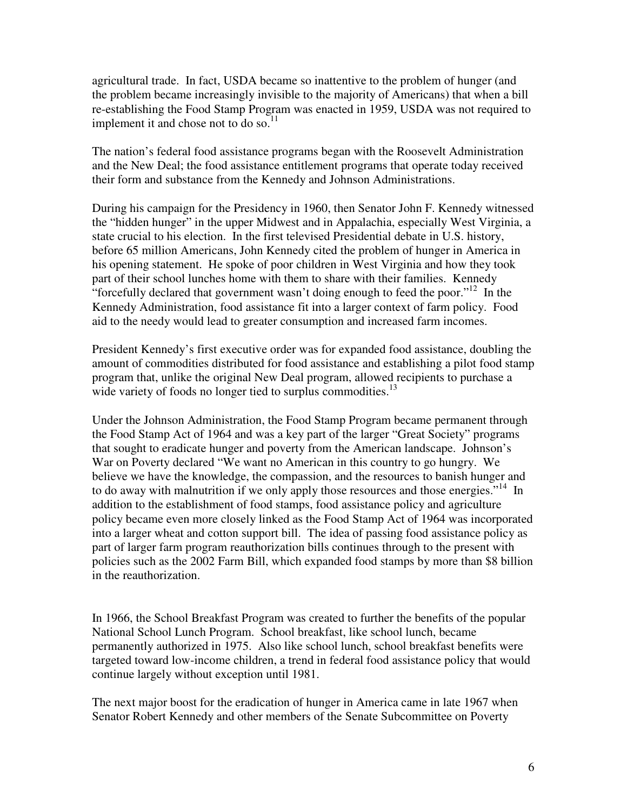agricultural trade. In fact, USDA became so inattentive to the problem of hunger (and the problem became increasingly invisible to the majority of Americans) that when a bill re-establishing the Food Stamp Program was enacted in 1959, USDA was not required to implement it and chose not to do so. $^{11}$ 

The nation's federal food assistance programs began with the Roosevelt Administration and the New Deal; the food assistance entitlement programs that operate today received their form and substance from the Kennedy and Johnson Administrations.

During his campaign for the Presidency in 1960, then Senator John F. Kennedy witnessed the "hidden hunger" in the upper Midwest and in Appalachia, especially West Virginia, a state crucial to his election. In the first televised Presidential debate in U.S. history, before 65 million Americans, John Kennedy cited the problem of hunger in America in his opening statement. He spoke of poor children in West Virginia and how they took part of their school lunches home with them to share with their families. Kennedy "forcefully declared that government wasn't doing enough to feed the poor."<sup>12</sup> In the Kennedy Administration, food assistance fit into a larger context of farm policy. Food aid to the needy would lead to greater consumption and increased farm incomes.

President Kennedy's first executive order was for expanded food assistance, doubling the amount of commodities distributed for food assistance and establishing a pilot food stamp program that, unlike the original New Deal program, allowed recipients to purchase a wide variety of foods no longer tied to surplus commodities. $13$ 

Under the Johnson Administration, the Food Stamp Program became permanent through the Food Stamp Act of 1964 and was a key part of the larger "Great Society" programs that sought to eradicate hunger and poverty from the American landscape. Johnson's War on Poverty declared "We want no American in this country to go hungry. We believe we have the knowledge, the compassion, and the resources to banish hunger and to do away with malnutrition if we only apply those resources and those energies."<sup>14</sup> In addition to the establishment of food stamps, food assistance policy and agriculture policy became even more closely linked as the Food Stamp Act of 1964 was incorporated into a larger wheat and cotton support bill. The idea of passing food assistance policy as part of larger farm program reauthorization bills continues through to the present with policies such as the 2002 Farm Bill, which expanded food stamps by more than \$8 billion in the reauthorization.

In 1966, the School Breakfast Program was created to further the benefits of the popular National School Lunch Program. School breakfast, like school lunch, became permanently authorized in 1975. Also like school lunch, school breakfast benefits were targeted toward low-income children, a trend in federal food assistance policy that would continue largely without exception until 1981.

The next major boost for the eradication of hunger in America came in late 1967 when Senator Robert Kennedy and other members of the Senate Subcommittee on Poverty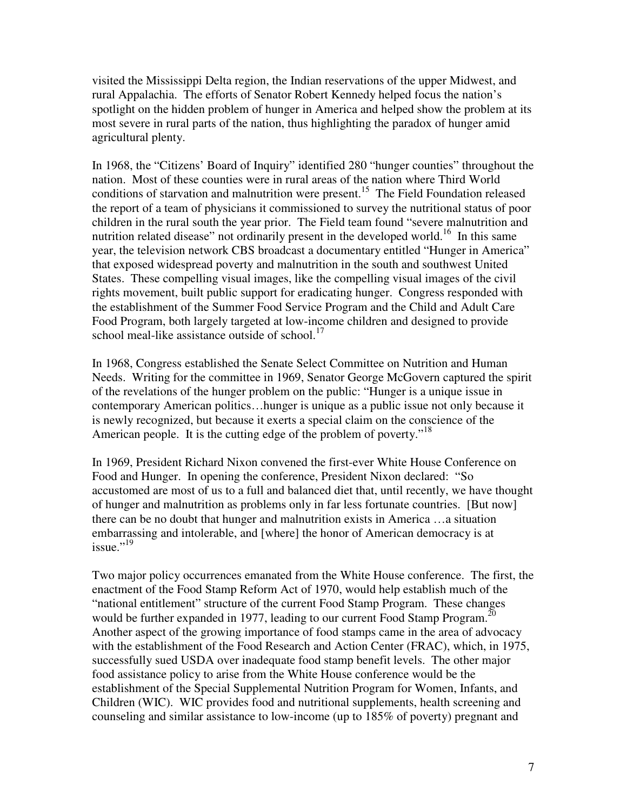visited the Mississippi Delta region, the Indian reservations of the upper Midwest, and rural Appalachia. The efforts of Senator Robert Kennedy helped focus the nation's spotlight on the hidden problem of hunger in America and helped show the problem at its most severe in rural parts of the nation, thus highlighting the paradox of hunger amid agricultural plenty.

In 1968, the "Citizens' Board of Inquiry" identified 280 "hunger counties" throughout the nation. Most of these counties were in rural areas of the nation where Third World conditions of starvation and malnutrition were present.<sup>15</sup> The Field Foundation released the report of a team of physicians it commissioned to survey the nutritional status of poor children in the rural south the year prior. The Field team found "severe malnutrition and nutrition related disease" not ordinarily present in the developed world.<sup>16</sup> In this same year, the television network CBS broadcast a documentary entitled "Hunger in America" that exposed widespread poverty and malnutrition in the south and southwest United States. These compelling visual images, like the compelling visual images of the civil rights movement, built public support for eradicating hunger. Congress responded with the establishment of the Summer Food Service Program and the Child and Adult Care Food Program, both largely targeted at low-income children and designed to provide school meal-like assistance outside of school.<sup>17</sup>

In 1968, Congress established the Senate Select Committee on Nutrition and Human Needs. Writing for the committee in 1969, Senator George McGovern captured the spirit of the revelations of the hunger problem on the public: "Hunger is a unique issue in contemporary American politics…hunger is unique as a public issue not only because it is newly recognized, but because it exerts a special claim on the conscience of the American people. It is the cutting edge of the problem of poverty."<sup>18</sup>

In 1969, President Richard Nixon convened the first-ever White House Conference on Food and Hunger. In opening the conference, President Nixon declared: "So accustomed are most of us to a full and balanced diet that, until recently, we have thought of hunger and malnutrition as problems only in far less fortunate countries. [But now] there can be no doubt that hunger and malnutrition exists in America …a situation embarrassing and intolerable, and [where] the honor of American democracy is at issue." $^{19}$ 

Two major policy occurrences emanated from the White House conference. The first, the enactment of the Food Stamp Reform Act of 1970, would help establish much of the "national entitlement" structure of the current Food Stamp Program. These changes would be further expanded in 1977, leading to our current Food Stamp Program.<sup>20</sup> Another aspect of the growing importance of food stamps came in the area of advocacy with the establishment of the Food Research and Action Center (FRAC), which, in 1975, successfully sued USDA over inadequate food stamp benefit levels. The other major food assistance policy to arise from the White House conference would be the establishment of the Special Supplemental Nutrition Program for Women, Infants, and Children (WIC). WIC provides food and nutritional supplements, health screening and counseling and similar assistance to low-income (up to 185% of poverty) pregnant and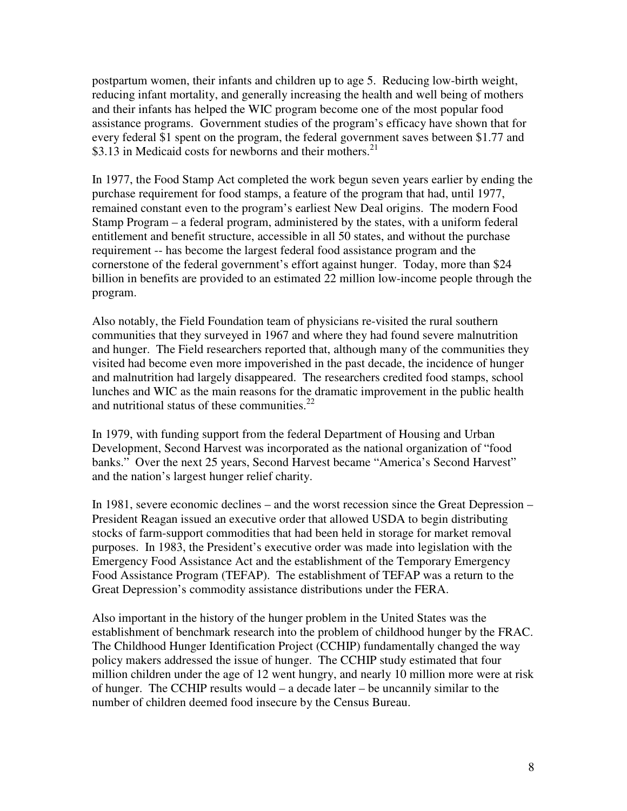postpartum women, their infants and children up to age 5. Reducing low-birth weight, reducing infant mortality, and generally increasing the health and well being of mothers and their infants has helped the WIC program become one of the most popular food assistance programs. Government studies of the program's efficacy have shown that for every federal \$1 spent on the program, the federal government saves between \$1.77 and \$3.13 in Medicaid costs for newborns and their mothers.<sup>21</sup>

In 1977, the Food Stamp Act completed the work begun seven years earlier by ending the purchase requirement for food stamps, a feature of the program that had, until 1977, remained constant even to the program's earliest New Deal origins. The modern Food Stamp Program – a federal program, administered by the states, with a uniform federal entitlement and benefit structure, accessible in all 50 states, and without the purchase requirement -- has become the largest federal food assistance program and the cornerstone of the federal government's effort against hunger. Today, more than \$24 billion in benefits are provided to an estimated 22 million low-income people through the program.

Also notably, the Field Foundation team of physicians re-visited the rural southern communities that they surveyed in 1967 and where they had found severe malnutrition and hunger. The Field researchers reported that, although many of the communities they visited had become even more impoverished in the past decade, the incidence of hunger and malnutrition had largely disappeared. The researchers credited food stamps, school lunches and WIC as the main reasons for the dramatic improvement in the public health and nutritional status of these communities.<sup>22</sup>

In 1979, with funding support from the federal Department of Housing and Urban Development, Second Harvest was incorporated as the national organization of "food banks." Over the next 25 years, Second Harvest became "America's Second Harvest" and the nation's largest hunger relief charity.

In 1981, severe economic declines – and the worst recession since the Great Depression – President Reagan issued an executive order that allowed USDA to begin distributing stocks of farm-support commodities that had been held in storage for market removal purposes. In 1983, the President's executive order was made into legislation with the Emergency Food Assistance Act and the establishment of the Temporary Emergency Food Assistance Program (TEFAP). The establishment of TEFAP was a return to the Great Depression's commodity assistance distributions under the FERA.

Also important in the history of the hunger problem in the United States was the establishment of benchmark research into the problem of childhood hunger by the FRAC. The Childhood Hunger Identification Project (CCHIP) fundamentally changed the way policy makers addressed the issue of hunger. The CCHIP study estimated that four million children under the age of 12 went hungry, and nearly 10 million more were at risk of hunger. The CCHIP results would – a decade later – be uncannily similar to the number of children deemed food insecure by the Census Bureau.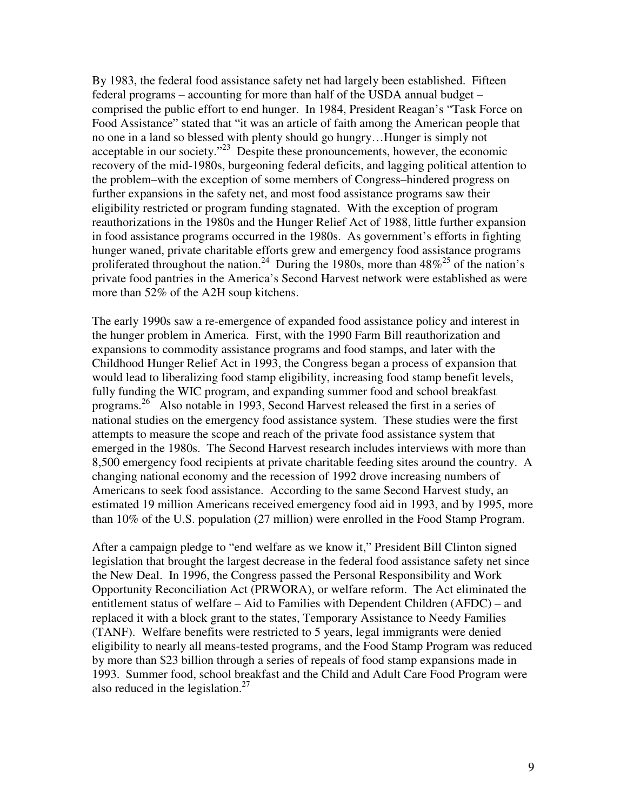By 1983, the federal food assistance safety net had largely been established. Fifteen federal programs – accounting for more than half of the USDA annual budget – comprised the public effort to end hunger. In 1984, President Reagan's "Task Force on Food Assistance" stated that "it was an article of faith among the American people that no one in a land so blessed with plenty should go hungry…Hunger is simply not acceptable in our society."<sup>23</sup> Despite these pronouncements, however, the economic recovery of the mid-1980s, burgeoning federal deficits, and lagging political attention to the problem–with the exception of some members of Congress–hindered progress on further expansions in the safety net, and most food assistance programs saw their eligibility restricted or program funding stagnated. With the exception of program reauthorizations in the 1980s and the Hunger Relief Act of 1988, little further expansion in food assistance programs occurred in the 1980s. As government's efforts in fighting hunger waned, private charitable efforts grew and emergency food assistance programs proliferated throughout the nation.<sup>24</sup> During the 1980s, more than  $48\%^{25}$  of the nation's private food pantries in the America's Second Harvest network were established as were more than 52% of the A2H soup kitchens.

The early 1990s saw a re-emergence of expanded food assistance policy and interest in the hunger problem in America. First, with the 1990 Farm Bill reauthorization and expansions to commodity assistance programs and food stamps, and later with the Childhood Hunger Relief Act in 1993, the Congress began a process of expansion that would lead to liberalizing food stamp eligibility, increasing food stamp benefit levels, fully funding the WIC program, and expanding summer food and school breakfast programs.<sup>26</sup> Also notable in 1993, Second Harvest released the first in a series of national studies on the emergency food assistance system. These studies were the first attempts to measure the scope and reach of the private food assistance system that emerged in the 1980s. The Second Harvest research includes interviews with more than 8,500 emergency food recipients at private charitable feeding sites around the country. A changing national economy and the recession of 1992 drove increasing numbers of Americans to seek food assistance. According to the same Second Harvest study, an estimated 19 million Americans received emergency food aid in 1993, and by 1995, more than 10% of the U.S. population (27 million) were enrolled in the Food Stamp Program.

After a campaign pledge to "end welfare as we know it," President Bill Clinton signed legislation that brought the largest decrease in the federal food assistance safety net since the New Deal. In 1996, the Congress passed the Personal Responsibility and Work Opportunity Reconciliation Act (PRWORA), or welfare reform. The Act eliminated the entitlement status of welfare – Aid to Families with Dependent Children (AFDC) – and replaced it with a block grant to the states, Temporary Assistance to Needy Families (TANF). Welfare benefits were restricted to 5 years, legal immigrants were denied eligibility to nearly all means-tested programs, and the Food Stamp Program was reduced by more than \$23 billion through a series of repeals of food stamp expansions made in 1993. Summer food, school breakfast and the Child and Adult Care Food Program were also reduced in the legislation. $27$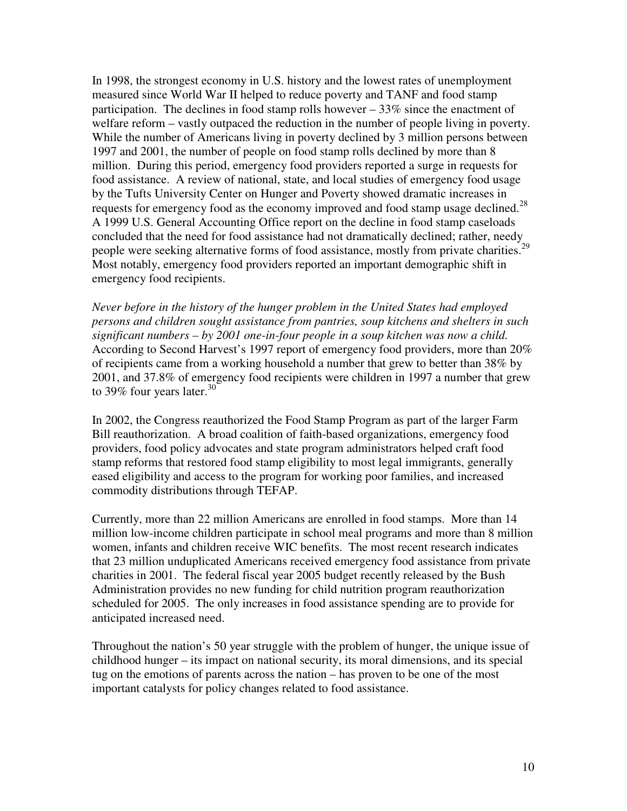In 1998, the strongest economy in U.S. history and the lowest rates of unemployment measured since World War II helped to reduce poverty and TANF and food stamp participation. The declines in food stamp rolls however – 33% since the enactment of welfare reform – vastly outpaced the reduction in the number of people living in poverty. While the number of Americans living in poverty declined by 3 million persons between 1997 and 2001, the number of people on food stamp rolls declined by more than 8 million. During this period, emergency food providers reported a surge in requests for food assistance. A review of national, state, and local studies of emergency food usage by the Tufts University Center on Hunger and Poverty showed dramatic increases in requests for emergency food as the economy improved and food stamp usage declined.<sup>28</sup> A 1999 U.S. General Accounting Office report on the decline in food stamp caseloads concluded that the need for food assistance had not dramatically declined; rather, needy people were seeking alternative forms of food assistance, mostly from private charities.<sup>29</sup> Most notably, emergency food providers reported an important demographic shift in emergency food recipients.

*Never before in the history of the hunger problem in the United States had employed persons and children sought assistance from pantries, soup kitchens and shelters in such significant numbers – by 2001 one-in-four people in a soup kitchen was now a child.* According to Second Harvest's 1997 report of emergency food providers, more than 20% of recipients came from a working household a number that grew to better than 38% by 2001, and 37.8% of emergency food recipients were children in 1997 a number that grew to 39% four years later. $30$ 

In 2002, the Congress reauthorized the Food Stamp Program as part of the larger Farm Bill reauthorization. A broad coalition of faith-based organizations, emergency food providers, food policy advocates and state program administrators helped craft food stamp reforms that restored food stamp eligibility to most legal immigrants, generally eased eligibility and access to the program for working poor families, and increased commodity distributions through TEFAP.

Currently, more than 22 million Americans are enrolled in food stamps. More than 14 million low-income children participate in school meal programs and more than 8 million women, infants and children receive WIC benefits. The most recent research indicates that 23 million unduplicated Americans received emergency food assistance from private charities in 2001. The federal fiscal year 2005 budget recently released by the Bush Administration provides no new funding for child nutrition program reauthorization scheduled for 2005. The only increases in food assistance spending are to provide for anticipated increased need.

Throughout the nation's 50 year struggle with the problem of hunger, the unique issue of childhood hunger – its impact on national security, its moral dimensions, and its special tug on the emotions of parents across the nation – has proven to be one of the most important catalysts for policy changes related to food assistance.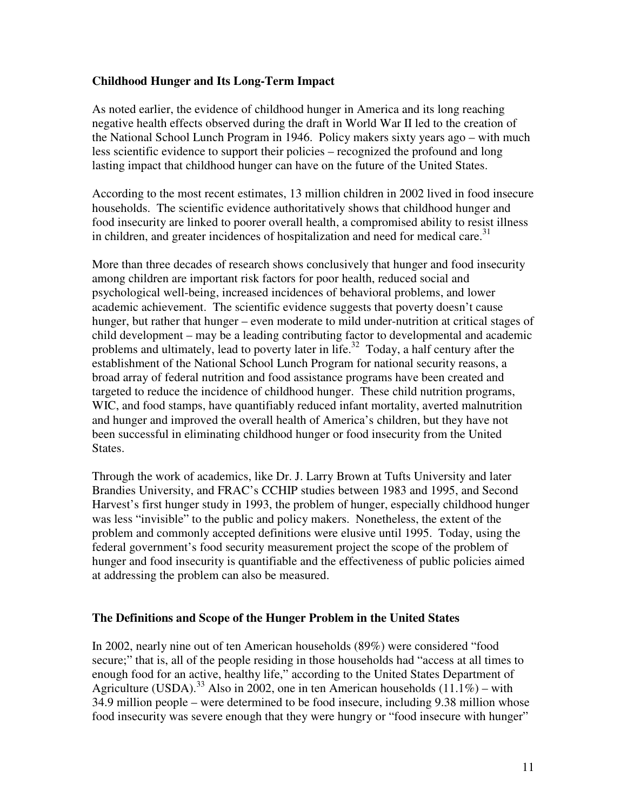## **Childhood Hunger and Its Long-Term Impact**

As noted earlier, the evidence of childhood hunger in America and its long reaching negative health effects observed during the draft in World War II led to the creation of the National School Lunch Program in 1946. Policy makers sixty years ago – with much less scientific evidence to support their policies – recognized the profound and long lasting impact that childhood hunger can have on the future of the United States.

According to the most recent estimates, 13 million children in 2002 lived in food insecure households. The scientific evidence authoritatively shows that childhood hunger and food insecurity are linked to poorer overall health, a compromised ability to resist illness in children, and greater incidences of hospitalization and need for medical care. $31$ 

More than three decades of research shows conclusively that hunger and food insecurity among children are important risk factors for poor health, reduced social and psychological well-being, increased incidences of behavioral problems, and lower academic achievement. The scientific evidence suggests that poverty doesn't cause hunger, but rather that hunger – even moderate to mild under-nutrition at critical stages of child development – may be a leading contributing factor to developmental and academic problems and ultimately, lead to poverty later in life.<sup>32</sup> Today, a half century after the establishment of the National School Lunch Program for national security reasons, a broad array of federal nutrition and food assistance programs have been created and targeted to reduce the incidence of childhood hunger. These child nutrition programs, WIC, and food stamps, have quantifiably reduced infant mortality, averted malnutrition and hunger and improved the overall health of America's children, but they have not been successful in eliminating childhood hunger or food insecurity from the United States.

Through the work of academics, like Dr. J. Larry Brown at Tufts University and later Brandies University, and FRAC's CCHIP studies between 1983 and 1995, and Second Harvest's first hunger study in 1993, the problem of hunger, especially childhood hunger was less "invisible" to the public and policy makers. Nonetheless, the extent of the problem and commonly accepted definitions were elusive until 1995. Today, using the federal government's food security measurement project the scope of the problem of hunger and food insecurity is quantifiable and the effectiveness of public policies aimed at addressing the problem can also be measured.

# **The Definitions and Scope of the Hunger Problem in the United States**

In 2002, nearly nine out of ten American households (89%) were considered "food secure;" that is, all of the people residing in those households had "access at all times to enough food for an active, healthy life," according to the United States Department of Agriculture (USDA).<sup>33</sup> Also in 2002, one in ten American households (11.1%) – with 34.9 million people – were determined to be food insecure, including 9.38 million whose food insecurity was severe enough that they were hungry or "food insecure with hunger"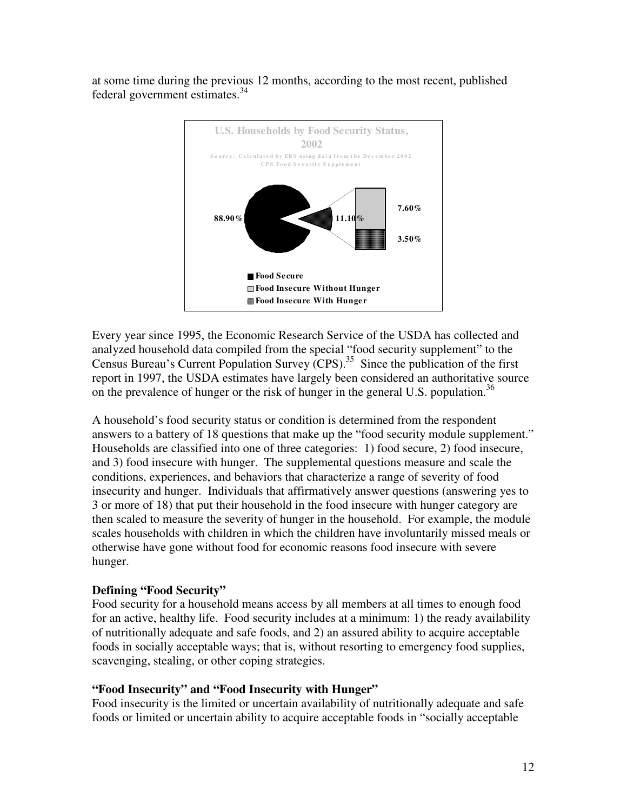at some time during the previous 12 months, according to the most recent, published federal government estimates.<sup>34</sup>



Every year since 1995, the Economic Research Service of the USDA has collected and analyzed household data compiled from the special "food security supplement" to the Census Bureau's Current Population Survey  $(CPS)$ .<sup>35</sup> Since the publication of the first report in 1997, the USDA estimates have largely been considered an authoritative source on the prevalence of hunger or the risk of hunger in the general U.S. population.<sup>36</sup>

A household's food security status or condition is determined from the respondent answers to a battery of 18 questions that make up the "food security module supplement." Households are classified into one of three categories: 1) food secure, 2) food insecure, and 3) food insecure with hunger. The supplemental questions measure and scale the conditions, experiences, and behaviors that characterize a range of severity of food insecurity and hunger. Individuals that affirmatively answer questions (answering yes to 3 or more of 18) that put their household in the food insecure with hunger category are then scaled to measure the severity of hunger in the household. For example, the module scales households with children in which the children have involuntarily missed meals or otherwise have gone without food for economic reasons food insecure with severe hunger.

# **Defining "Food Security"**

Food security for a household means access by all members at all times to enough food for an active, healthy life. Food security includes at a minimum: 1) the ready availability of nutritionally adequate and safe foods, and 2) an assured ability to acquire acceptable foods in socially acceptable ways; that is, without resorting to emergency food supplies, scavenging, stealing, or other coping strategies.

#### **"Food Insecurity" and "Food Insecurity with Hunger"**

Food insecurity is the limited or uncertain availability of nutritionally adequate and safe foods or limited or uncertain ability to acquire acceptable foods in "socially acceptable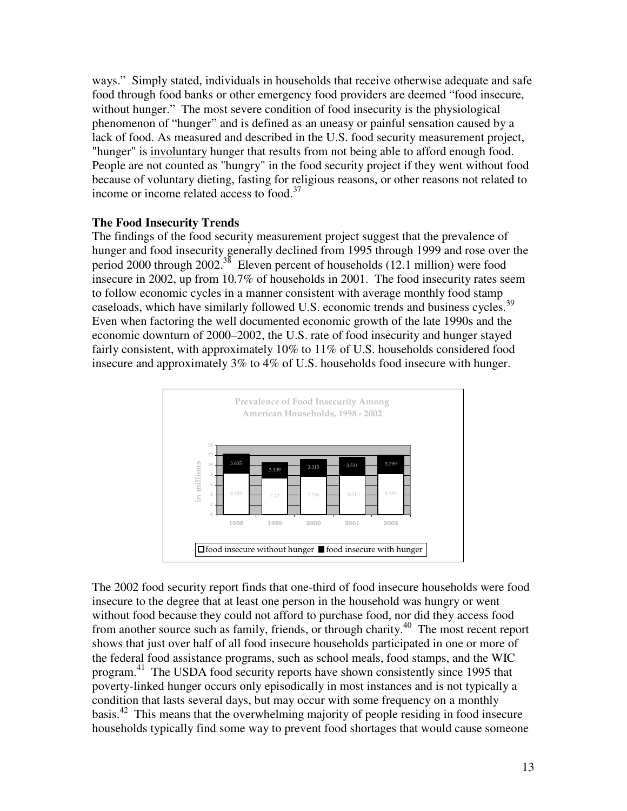ways." Simply stated, individuals in households that receive otherwise adequate and safe food through food banks or other emergency food providers are deemed "food insecure, without hunger." The most severe condition of food insecurity is the physiological phenomenon of "hunger" and is defined as an uneasy or painful sensation caused by a lack of food. As measured and described in the U.S. food security measurement project, "hunger" is involuntary hunger that results from not being able to afford enough food. People are not counted as "hungry" in the food security project if they went without food because of voluntary dieting, fasting for religious reasons, or other reasons not related to income or income related access to food.<sup>37</sup>

## **The Food Insecurity Trends**

The findings of the food security measurement project suggest that the prevalence of hunger and food insecurity generally declined from 1995 through 1999 and rose over the period 2000 through 2002.<sup>38</sup> Eleven percent of households (12.1 million) were food insecure in 2002, up from 10.7% of households in 2001. The food insecurity rates seem to follow economic cycles in a manner consistent with average monthly food stamp caseloads, which have similarly followed U.S. economic trends and business cycles.<sup>39</sup> Even when factoring the well documented economic growth of the late 1990s and the economic downturn of 2000–2002, the U.S. rate of food insecurity and hunger stayed fairly consistent, with approximately 10% to 11% of U.S. households considered food insecure and approximately 3% to 4% of U.S. households food insecure with hunger.



The 2002 food security report finds that one-third of food insecure households were food insecure to the degree that at least one person in the household was hungry or went without food because they could not afford to purchase food, nor did they access food from another source such as family, friends, or through charity.<sup>40</sup> The most recent report shows that just over half of all food insecure households participated in one or more of the federal food assistance programs, such as school meals, food stamps, and the WIC program.<sup>41</sup> The USDA food security reports have shown consistently since 1995 that poverty-linked hunger occurs only episodically in most instances and is not typically a condition that lasts several days, but may occur with some frequency on a monthly basis.<sup>42</sup> This means that the overwhelming majority of people residing in food insecure households typically find some way to prevent food shortages that would cause someone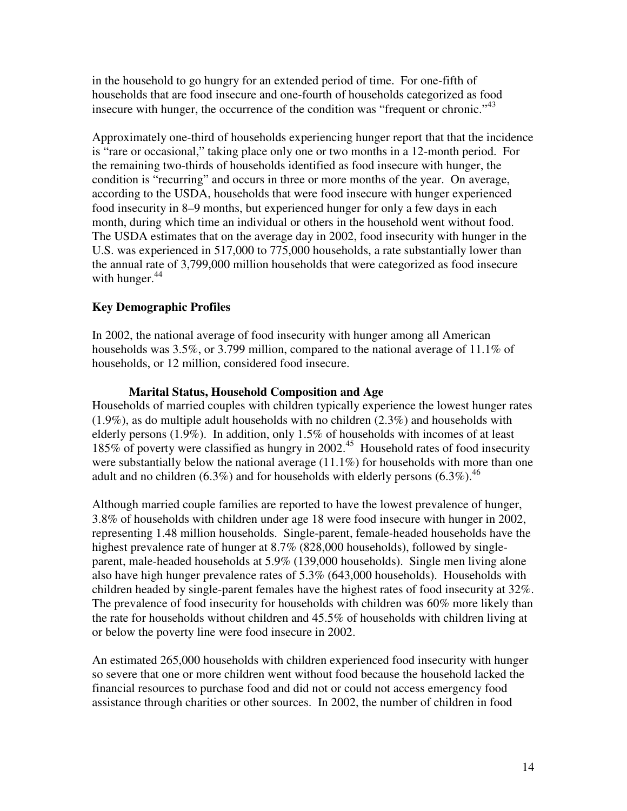in the household to go hungry for an extended period of time. For one-fifth of households that are food insecure and one-fourth of households categorized as food insecure with hunger, the occurrence of the condition was "frequent or chronic."<sup>43</sup>

Approximately one-third of households experiencing hunger report that that the incidence is "rare or occasional," taking place only one or two months in a 12-month period. For the remaining two-thirds of households identified as food insecure with hunger, the condition is "recurring" and occurs in three or more months of the year. On average, according to the USDA, households that were food insecure with hunger experienced food insecurity in 8–9 months, but experienced hunger for only a few days in each month, during which time an individual or others in the household went without food. The USDA estimates that on the average day in 2002, food insecurity with hunger in the U.S. was experienced in 517,000 to 775,000 households, a rate substantially lower than the annual rate of 3,799,000 million households that were categorized as food insecure with hunger.<sup>44</sup>

# **Key Demographic Profiles**

In 2002, the national average of food insecurity with hunger among all American households was 3.5%, or 3.799 million, compared to the national average of 11.1% of households, or 12 million, considered food insecure.

## **Marital Status, Household Composition and Age**

Households of married couples with children typically experience the lowest hunger rates  $(1.9\%)$ , as do multiple adult households with no children  $(2.3\%)$  and households with elderly persons (1.9%). In addition, only 1.5% of households with incomes of at least 185% of poverty were classified as hungry in 2002.<sup>45</sup> Household rates of food insecurity were substantially below the national average  $(11.1\%)$  for households with more than one adult and no children (6.3%) and for households with elderly persons (6.3%).<sup>46</sup>

Although married couple families are reported to have the lowest prevalence of hunger, 3.8% of households with children under age 18 were food insecure with hunger in 2002, representing 1.48 million households. Single-parent, female-headed households have the highest prevalence rate of hunger at 8.7% (828,000 households), followed by singleparent, male-headed households at 5.9% (139,000 households). Single men living alone also have high hunger prevalence rates of 5.3% (643,000 households). Households with children headed by single-parent females have the highest rates of food insecurity at 32%. The prevalence of food insecurity for households with children was 60% more likely than the rate for households without children and 45.5% of households with children living at or below the poverty line were food insecure in 2002.

An estimated 265,000 households with children experienced food insecurity with hunger so severe that one or more children went without food because the household lacked the financial resources to purchase food and did not or could not access emergency food assistance through charities or other sources. In 2002, the number of children in food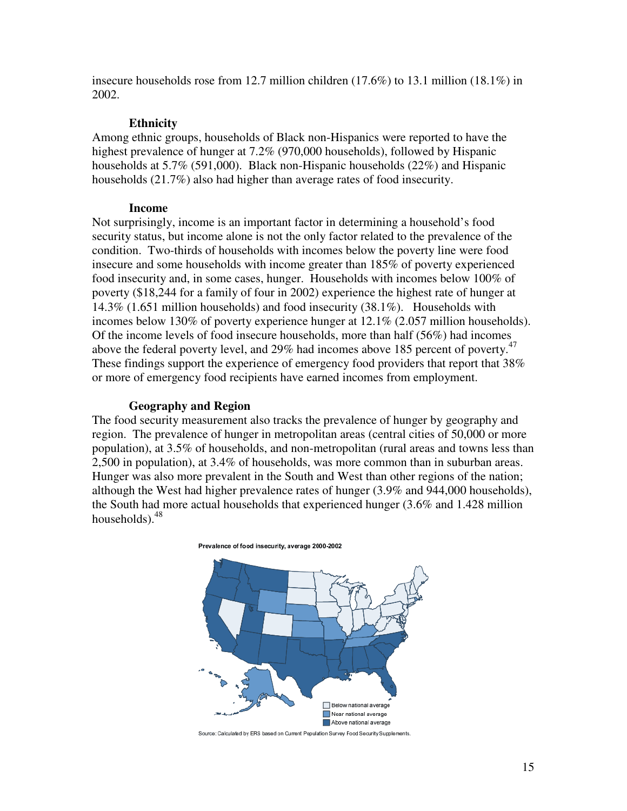insecure households rose from 12.7 million children (17.6%) to 13.1 million (18.1%) in 2002.

#### **Ethnicity**

Among ethnic groups, households of Black non-Hispanics were reported to have the highest prevalence of hunger at 7.2% (970,000 households), followed by Hispanic households at 5.7% (591,000). Black non-Hispanic households (22%) and Hispanic households (21.7%) also had higher than average rates of food insecurity.

#### **Income**

Not surprisingly, income is an important factor in determining a household's food security status, but income alone is not the only factor related to the prevalence of the condition. Two-thirds of households with incomes below the poverty line were food insecure and some households with income greater than 185% of poverty experienced food insecurity and, in some cases, hunger. Households with incomes below 100% of poverty (\$18,244 for a family of four in 2002) experience the highest rate of hunger at 14.3% (1.651 million households) and food insecurity (38.1%). Households with incomes below 130% of poverty experience hunger at 12.1% (2.057 million households). Of the income levels of food insecure households, more than half (56%) had incomes above the federal poverty level, and 29% had incomes above 185 percent of poverty. $47$ These findings support the experience of emergency food providers that report that 38% or more of emergency food recipients have earned incomes from employment.

#### **Geography and Region**

The food security measurement also tracks the prevalence of hunger by geography and region. The prevalence of hunger in metropolitan areas (central cities of 50,000 or more population), at 3.5% of households, and non-metropolitan (rural areas and towns less than 2,500 in population), at 3.4% of households, was more common than in suburban areas. Hunger was also more prevalent in the South and West than other regions of the nation; although the West had higher prevalence rates of hunger (3.9% and 944,000 households), the South had more actual households that experienced hunger (3.6% and 1.428 million households).<sup>48</sup>



Source: Calculated by ERS based on Current Population Survey Food Security Supplements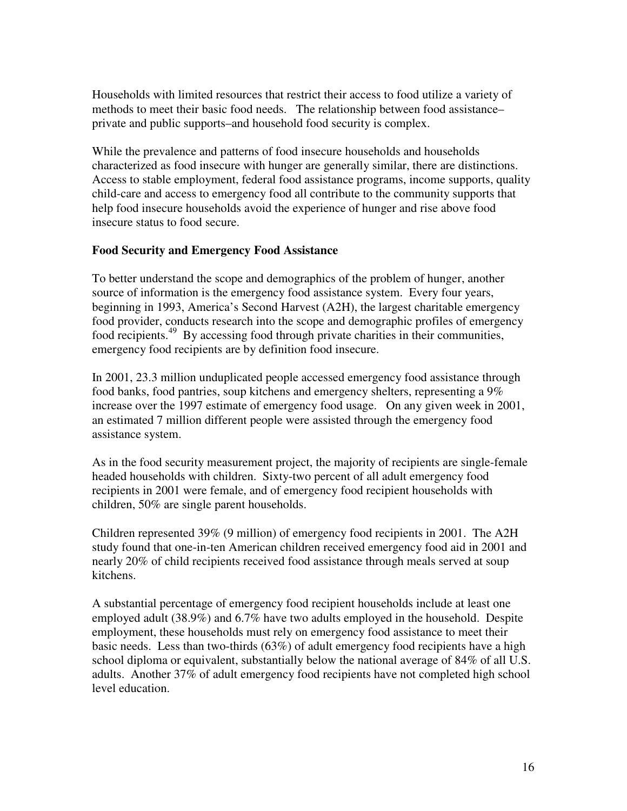Households with limited resources that restrict their access to food utilize a variety of methods to meet their basic food needs. The relationship between food assistance– private and public supports–and household food security is complex.

While the prevalence and patterns of food insecure households and households characterized as food insecure with hunger are generally similar, there are distinctions. Access to stable employment, federal food assistance programs, income supports, quality child-care and access to emergency food all contribute to the community supports that help food insecure households avoid the experience of hunger and rise above food insecure status to food secure.

## **Food Security and Emergency Food Assistance**

To better understand the scope and demographics of the problem of hunger, another source of information is the emergency food assistance system. Every four years, beginning in 1993, America's Second Harvest (A2H), the largest charitable emergency food provider, conducts research into the scope and demographic profiles of emergency food recipients.<sup>49</sup> By accessing food through private charities in their communities, emergency food recipients are by definition food insecure.

In 2001, 23.3 million unduplicated people accessed emergency food assistance through food banks, food pantries, soup kitchens and emergency shelters, representing a 9% increase over the 1997 estimate of emergency food usage. On any given week in 2001, an estimated 7 million different people were assisted through the emergency food assistance system.

As in the food security measurement project, the majority of recipients are single-female headed households with children. Sixty-two percent of all adult emergency food recipients in 2001 were female, and of emergency food recipient households with children, 50% are single parent households.

Children represented 39% (9 million) of emergency food recipients in 2001. The A2H study found that one-in-ten American children received emergency food aid in 2001 and nearly 20% of child recipients received food assistance through meals served at soup kitchens.

A substantial percentage of emergency food recipient households include at least one employed adult (38.9%) and 6.7% have two adults employed in the household. Despite employment, these households must rely on emergency food assistance to meet their basic needs. Less than two-thirds (63%) of adult emergency food recipients have a high school diploma or equivalent, substantially below the national average of 84% of all U.S. adults. Another 37% of adult emergency food recipients have not completed high school level education.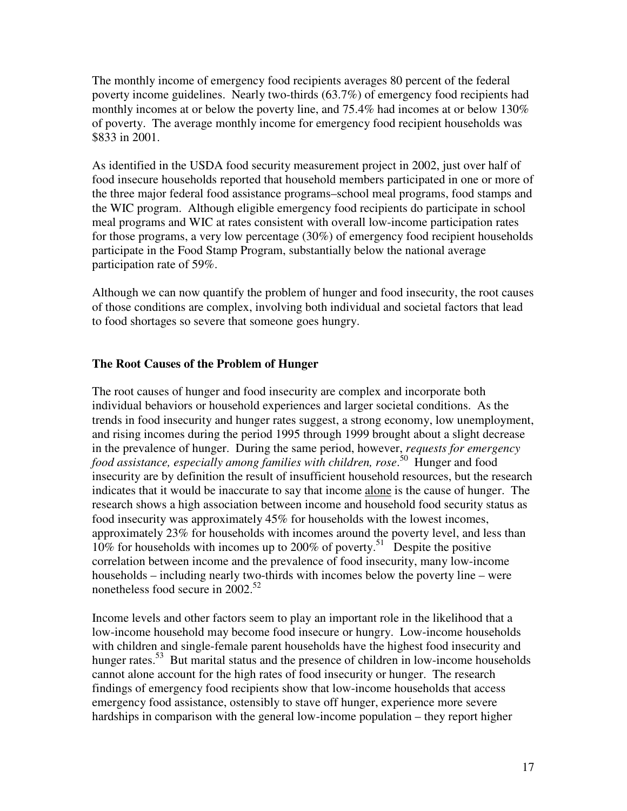The monthly income of emergency food recipients averages 80 percent of the federal poverty income guidelines. Nearly two-thirds (63.7%) of emergency food recipients had monthly incomes at or below the poverty line, and 75.4% had incomes at or below 130% of poverty. The average monthly income for emergency food recipient households was \$833 in 2001.

As identified in the USDA food security measurement project in 2002, just over half of food insecure households reported that household members participated in one or more of the three major federal food assistance programs–school meal programs, food stamps and the WIC program. Although eligible emergency food recipients do participate in school meal programs and WIC at rates consistent with overall low-income participation rates for those programs, a very low percentage (30%) of emergency food recipient households participate in the Food Stamp Program, substantially below the national average participation rate of 59%.

Although we can now quantify the problem of hunger and food insecurity, the root causes of those conditions are complex, involving both individual and societal factors that lead to food shortages so severe that someone goes hungry.

## **The Root Causes of the Problem of Hunger**

The root causes of hunger and food insecurity are complex and incorporate both individual behaviors or household experiences and larger societal conditions. As the trends in food insecurity and hunger rates suggest, a strong economy, low unemployment, and rising incomes during the period 1995 through 1999 brought about a slight decrease in the prevalence of hunger. During the same period, however, *requests for emergency*  food assistance, especially among families with children, rose.<sup>50</sup> Hunger and food insecurity are by definition the result of insufficient household resources, but the research indicates that it would be inaccurate to say that income alone is the cause of hunger. The research shows a high association between income and household food security status as food insecurity was approximately 45% for households with the lowest incomes, approximately 23% for households with incomes around the poverty level, and less than  $10\%$  for households with incomes up to 200% of poverty.<sup>51</sup> Despite the positive correlation between income and the prevalence of food insecurity, many low-income households – including nearly two-thirds with incomes below the poverty line – were nonetheless food secure in  $2002^{52}$ 

Income levels and other factors seem to play an important role in the likelihood that a low-income household may become food insecure or hungry. Low-income households with children and single-female parent households have the highest food insecurity and hunger rates.<sup>53</sup> But marital status and the presence of children in low-income households cannot alone account for the high rates of food insecurity or hunger. The research findings of emergency food recipients show that low-income households that access emergency food assistance, ostensibly to stave off hunger, experience more severe hardships in comparison with the general low-income population – they report higher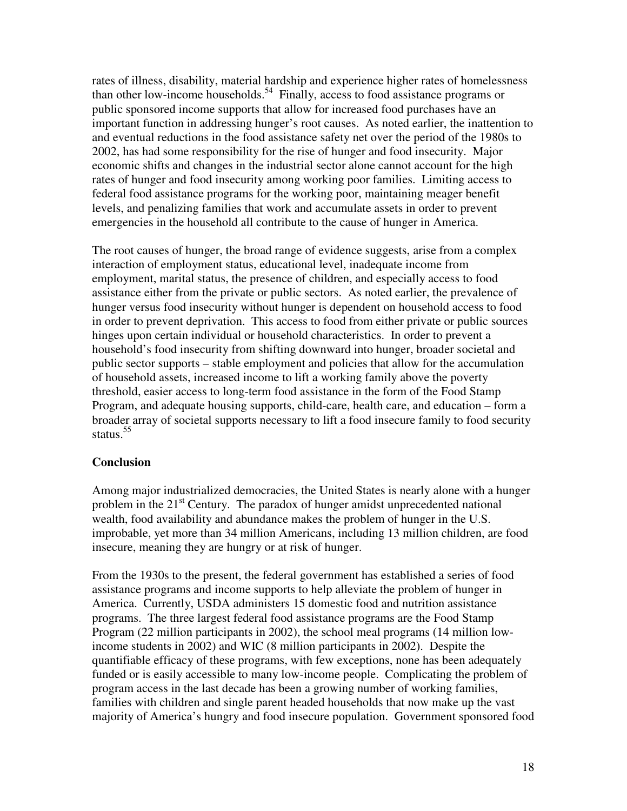rates of illness, disability, material hardship and experience higher rates of homelessness than other low-income households.<sup>54</sup> Finally, access to food assistance programs or public sponsored income supports that allow for increased food purchases have an important function in addressing hunger's root causes. As noted earlier, the inattention to and eventual reductions in the food assistance safety net over the period of the 1980s to 2002, has had some responsibility for the rise of hunger and food insecurity. Major economic shifts and changes in the industrial sector alone cannot account for the high rates of hunger and food insecurity among working poor families. Limiting access to federal food assistance programs for the working poor, maintaining meager benefit levels, and penalizing families that work and accumulate assets in order to prevent emergencies in the household all contribute to the cause of hunger in America.

The root causes of hunger, the broad range of evidence suggests, arise from a complex interaction of employment status, educational level, inadequate income from employment, marital status, the presence of children, and especially access to food assistance either from the private or public sectors. As noted earlier, the prevalence of hunger versus food insecurity without hunger is dependent on household access to food in order to prevent deprivation. This access to food from either private or public sources hinges upon certain individual or household characteristics. In order to prevent a household's food insecurity from shifting downward into hunger, broader societal and public sector supports – stable employment and policies that allow for the accumulation of household assets, increased income to lift a working family above the poverty threshold, easier access to long-term food assistance in the form of the Food Stamp Program, and adequate housing supports, child-care, health care, and education – form a broader array of societal supports necessary to lift a food insecure family to food security status.<sup>55</sup>

#### **Conclusion**

Among major industrialized democracies, the United States is nearly alone with a hunger problem in the  $21<sup>st</sup>$  Century. The paradox of hunger amidst unprecedented national wealth, food availability and abundance makes the problem of hunger in the U.S. improbable, yet more than 34 million Americans, including 13 million children, are food insecure, meaning they are hungry or at risk of hunger.

From the 1930s to the present, the federal government has established a series of food assistance programs and income supports to help alleviate the problem of hunger in America. Currently, USDA administers 15 domestic food and nutrition assistance programs. The three largest federal food assistance programs are the Food Stamp Program (22 million participants in 2002), the school meal programs (14 million lowincome students in 2002) and WIC (8 million participants in 2002). Despite the quantifiable efficacy of these programs, with few exceptions, none has been adequately funded or is easily accessible to many low-income people. Complicating the problem of program access in the last decade has been a growing number of working families, families with children and single parent headed households that now make up the vast majority of America's hungry and food insecure population. Government sponsored food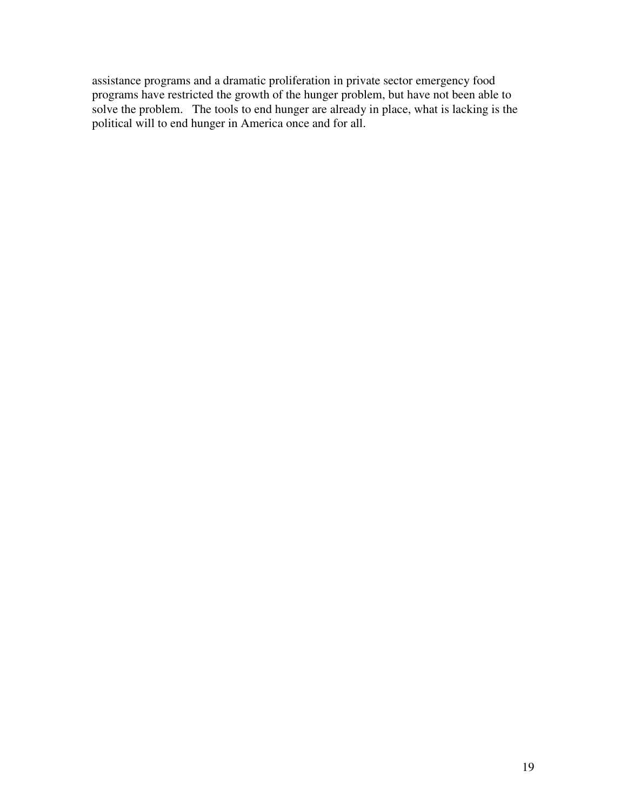assistance programs and a dramatic proliferation in private sector emergency food programs have restricted the growth of the hunger problem, but have not been able to solve the problem. The tools to end hunger are already in place, what is lacking is the political will to end hunger in America once and for all.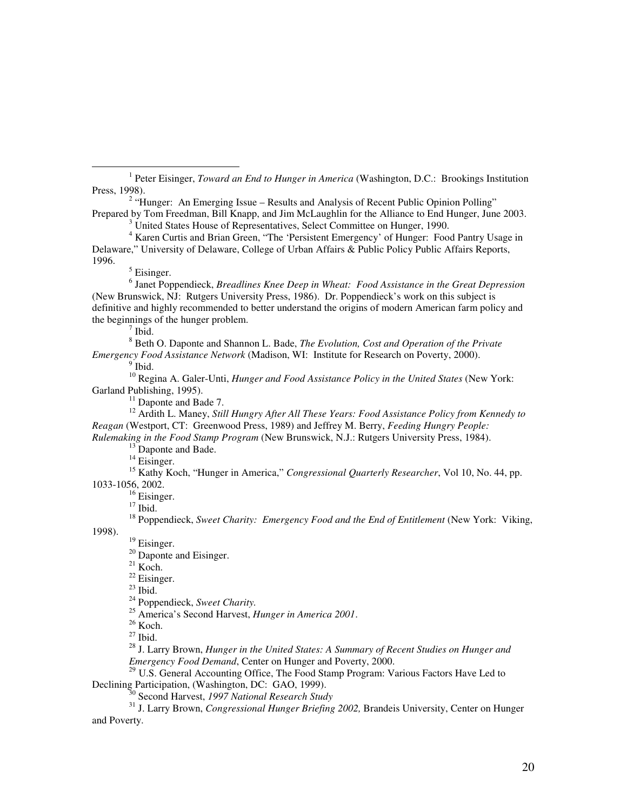<sup>1</sup> Peter Eisinger, *Toward an End to Hunger in America* (Washington, D.C.: Brookings Institution Press, 1998).

<sup>2</sup> "Hunger: An Emerging Issue – Results and Analysis of Recent Public Opinion Polling" Prepared by Tom Freedman, Bill Knapp, and Jim McLaughlin for the Alliance to End Hunger, June 2003.

<sup>3</sup> United States House of Representatives, Select Committee on Hunger, 1990.

<sup>4</sup> Karen Curtis and Brian Green, "The 'Persistent Emergency' of Hunger: Food Pantry Usage in Delaware," University of Delaware, College of Urban Affairs & Public Policy Public Affairs Reports, 1996.

<sup>5</sup> Eisinger.

l

6 Janet Poppendieck, *Breadlines Knee Deep in Wheat: Food Assistance in the Great Depression* (New Brunswick, NJ:Rutgers University Press, 1986). Dr. Poppendieck's work on this subject is definitive and highly recommended to better understand the origins of modern American farm policy and the beginnings of the hunger problem.

 $7$  Ibid.

8 Beth O. Daponte and Shannon L. Bade, *The Evolution, Cost and Operation of the Private Emergency Food Assistance Network* (Madison, WI: Institute for Research on Poverty, 2000).

 $9$  Ibid.

<sup>10</sup> Regina A. Galer-Unti, *Hunger and Food Assistance Policy in the United States* (New York: Garland Publishing, 1995).

<sup>11</sup> Daponte and Bade 7.

<sup>12</sup> Ardith L. Maney, *Still Hungry After All These Years: Food Assistance Policy from Kennedy to Reagan* (Westport, CT:Greenwood Press, 1989) and Jeffrey M. Berry, *Feeding Hungry People: Rulemaking in the Food Stamp Program* (New Brunswick, N.J.: Rutgers University Press, 1984).

<sup>13</sup> Daponte and Bade.

<sup>14</sup> Eisinger.

<sup>15</sup> Kathy Koch, "Hunger in America," *Congressional Quarterly Researcher*, Vol 10, No. 44, pp. 1033-1056, 2002.

<sup>16</sup> Eisinger.

 $17$  Ibid.

<sup>18</sup> Poppendieck, *Sweet Charity: Emergency Food and the End of Entitlement* (New York: Viking,

1998).

<sup>19</sup> Eisinger.  $20$  Daponte and Eisinger.

 $21$  Koch.

<sup>22</sup> Eisinger.  $^{23}$  Ibid.

<sup>24</sup> Poppendieck, *Sweet Charity.* 

<sup>25</sup> America's Second Harvest, *Hunger in America 2001*.

 $^{26}$  Koch.

 $27$  Ibid.

<sup>28</sup> J. Larry Brown, *Hunger in the United States: A Summary of Recent Studies on Hunger and Emergency Food Demand*, Center on Hunger and Poverty, 2000.

<sup>29</sup> U.S. General Accounting Office, The Food Stamp Program: Various Factors Have Led to Declining Participation, (Washington, DC: GAO, 1999).

<sup>30</sup> Second Harvest, *1997 National Research Study* 

<sup>31</sup> J. Larry Brown, *Congressional Hunger Briefing 2002,* Brandeis University, Center on Hunger and Poverty.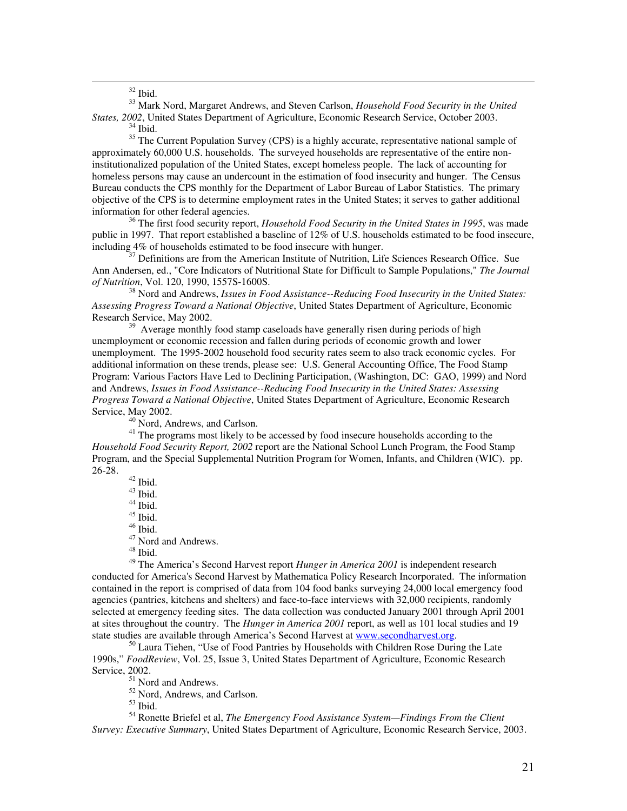$32$  Ibid.

information for other federal agencies.

 $\overline{a}$ 

<sup>33</sup> Mark Nord, Margaret Andrews, and Steven Carlson, *Household Food Security in the United States, 2002*, United States Department of Agriculture, Economic Research Service, October 2003.  $34$  Ibid.

<sup>35</sup> The Current Population Survey (CPS) is a highly accurate, representative national sample of approximately 60,000 U.S. households. The surveyed households are representative of the entire noninstitutionalized population of the United States, except homeless people. The lack of accounting for homeless persons may cause an undercount in the estimation of food insecurity and hunger. The Census Bureau conducts the CPS monthly for the Department of Labor Bureau of Labor Statistics. The primary objective of the CPS is to determine employment rates in the United States; it serves to gather additional

<sup>36</sup> The first food security report, *Household Food Security in the United States in 1995*, was made public in 1997. That report established a baseline of 12% of U.S. households estimated to be food insecure, including 4% of households estimated to be food insecure with hunger.

<sup>37</sup> Definitions are from the American Institute of Nutrition, Life Sciences Research Office.Sue Ann Andersen, ed., "Core Indicators of Nutritional State for Difficult to Sample Populations," *The Journal of Nutrition*, Vol. 120, 1990, 1557S-1600S.

<sup>38</sup> Nord and Andrews, *Issues in Food Assistance--Reducing Food Insecurity in the United States: Assessing Progress Toward a National Objective*, United States Department of Agriculture, Economic Research Service, May 2002.

<sup>39</sup> Average monthly food stamp caseloads have generally risen during periods of high unemployment or economic recession and fallen during periods of economic growth and lower unemployment. The 1995-2002 household food security rates seem to also track economic cycles. For additional information on these trends, please see: U.S. General Accounting Office, The Food Stamp Program: Various Factors Have Led to Declining Participation, (Washington, DC: GAO, 1999) and Nord and Andrews, *Issues in Food Assistance--Reducing Food Insecurity in the United States: Assessing Progress Toward a National Objective*, United States Department of Agriculture, Economic Research Service, May 2002.

<sup>40</sup> Nord, Andrews, and Carlson.

<sup>41</sup> The programs most likely to be accessed by food insecure households according to the *Household Food Security Report, 2002* report are the National School Lunch Program, the Food Stamp Program, and the Special Supplemental Nutrition Program for Women, Infants, and Children (WIC). pp. 26-28.

<sup>42</sup> Ibid.  $^{43}$  Ibid.  $44$  Ibid.  $45$  Ibid.

 $^{\rm 46}$  Ibid.

<sup>47</sup> Nord and Andrews.

 $48$  Ibid.

<sup>49</sup> The America's Second Harvest report *Hunger in America 2001* is independent research conducted for America's Second Harvest by Mathematica Policy Research Incorporated. The information contained in the report is comprised of data from 104 food banks surveying 24,000 local emergency food agencies (pantries, kitchens and shelters) and face-to-face interviews with 32,000 recipients, randomly selected at emergency feeding sites. The data collection was conducted January 2001 through April 2001 at sites throughout the country. The *Hunger in America 2001* report, as well as 101 local studies and 19 state studies are available through America's Second Harvest at www.secondharvest.org.

<sup>50</sup> Laura Tiehen, "Use of Food Pantries by Households with Children Rose During the Late 1990s," *FoodReview*, Vol. 25, Issue 3, United States Department of Agriculture, Economic Research Service, 2002.

<sup>51</sup> Nord and Andrews.

<sup>52</sup> Nord, Andrews, and Carlson.

<sup>53</sup> Ibid.

<sup>54</sup> Ronette Briefel et al, *The Emergency Food Assistance System—Findings From the Client Survey: Executive Summary*, United States Department of Agriculture, Economic Research Service, 2003.